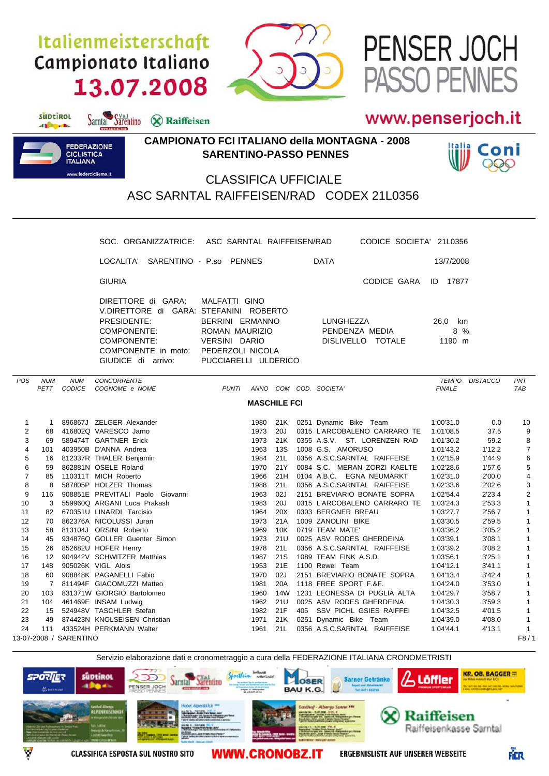## Italienmeisterschaft Campionato Italiano 13.07.2008

Sarntal Sarentino & Raiffeisen



## www.penserjoch.it

ASSO PENNES

PENSER JOCH



suptirol

different.

## **CAMPIONATO FCI ITALIANO della MONTAGNA - 2008 SARENTINO-PASSO PENNES**



## CLASSIFICA UFFICIALE ASC SARNTAL RAIFFEISEN/RAD CODEX 21L0356

|                                |            |                           | SOC. ORGANIZZATRICE:                                                                                                                                                    |  | ASC SARNTAL RAIFFEISEN/RAD                                                                  |                     |  | CODICE SOCIETA' 21L0356                                     |                          |                  |                             |
|--------------------------------|------------|---------------------------|-------------------------------------------------------------------------------------------------------------------------------------------------------------------------|--|---------------------------------------------------------------------------------------------|---------------------|--|-------------------------------------------------------------|--------------------------|------------------|-----------------------------|
|                                |            |                           | LOCALITA' SARENTINO - P.so PENNES                                                                                                                                       |  |                                                                                             |                     |  | <b>DATA</b>                                                 | 13/7/2008                |                  |                             |
|                                |            |                           | <b>GIURIA</b>                                                                                                                                                           |  |                                                                                             |                     |  | CODICE GARA                                                 | ID 17877                 |                  |                             |
|                                |            |                           | DIRETTORE di GARA:<br>V.DIRETTORE di GARA: STEFANINI ROBERTO<br>PRESIDENTE:<br>COMPONENTE:<br>COMPONENTE:<br>COMPONENTE in moto: PEDERZOLI NICOLA<br>GIUDICE di arrivo: |  | MALFATTI GINO<br>BERRINI ERMANNO<br>ROMAN MAURIZIO<br>VERSINI DARIO<br>PUCCIARELLI ULDERICO |                     |  | LUNGHEZZA<br>PENDENZA MEDIA<br>DISLIVELLO TOTALE            | 26,0 km<br>8 %<br>1190 m |                  |                             |
| <b>POS</b>                     | <b>NUM</b> | <b>NUM</b><br>PETT CODICE | <b>CONCORRENTE</b><br>COGNOME e NOME                                                                                                                                    |  | <b>PUNTI</b>                                                                                |                     |  | ANNO COM COD. SOCIETA'                                      | <b>FINALE</b>            | TEMPO DISTACCO   | PNT<br>TAB                  |
|                                |            |                           |                                                                                                                                                                         |  |                                                                                             |                     |  |                                                             |                          |                  |                             |
|                                |            |                           |                                                                                                                                                                         |  |                                                                                             | <b>MASCHILE FCI</b> |  |                                                             |                          |                  |                             |
| $\mathbf{1}$                   |            |                           | 1 896867J ZELGER Alexander                                                                                                                                              |  |                                                                                             | 1980 21K            |  | 0251 Dynamic Bike Team                                      | 1:00'31.0                | 0.0              | 10                          |
| $\overline{c}$                 |            |                           | 68 416802Q VARESCO Jarno                                                                                                                                                |  | 1973                                                                                        | 20J                 |  | 0315 L'ARCOBALENO CARRARO TE                                | 1:01'08.5                | 37.5             | 9                           |
| 3                              |            |                           | 69 589474T GARTNER Erick                                                                                                                                                |  | 1973                                                                                        |                     |  | 21K 0355 A.S.V. ST. LORENZEN RAD                            | 1:01'30.2                | 59.2             | 8                           |
| $\overline{\mathbf{4}}$        |            |                           | 101 403950B D'ANNA Andrea                                                                                                                                               |  | 1963                                                                                        | 13S                 |  | 1008 G.S. AMORUSO                                           | 1:01'43.2                | 1'12.2           | $\boldsymbol{7}$            |
| 5                              |            |                           | 16 812337R THALER Benjamin                                                                                                                                              |  | 1984                                                                                        | 21L                 |  | 0356 A.S.C.SARNTAL RAIFFEISE                                | 1:02'15.9                | 1'44.9           | 6                           |
| 6                              |            |                           | 59 862881N OSELE Roland                                                                                                                                                 |  | 1970                                                                                        | 21Y                 |  | 0084 S.C. MERAN ZORZI KAELTE                                | 1:02'28.6                | 1'57.6           | $\,$ 5 $\,$                 |
| $\overline{7}$                 |            |                           | 85 110311T MICH Roberto                                                                                                                                                 |  | 1966                                                                                        | 21H                 |  | 0104 A.B.C. EGNA NEUMARKT                                   | 1:02'31.0                | 2'00.0           | 4                           |
| 8                              | 8          |                           | 587805P HOLZER Thomas                                                                                                                                                   |  | 1988                                                                                        | 21L<br>02J          |  | 0356 A.S.C.SARNTAL RAIFFEISE                                | 1:02'33.6                | 2'02.6           | 3                           |
| 9<br>10                        |            |                           | 116 908851E PREVITALI Paolo Giovanni<br>559960Q ARGANI Luca Prakash                                                                                                     |  | 1963<br>1983                                                                                | 20J                 |  | 2151 BREVIARIO BONATE SOPRA<br>0315 L'ARCOBALENO CARRARO TE | 1:02'54.4<br>1:03'24.3   | 2'23.4<br>2'53.3 | $\mathbf 2$<br>$\mathbf{1}$ |
| 11                             | 3          |                           | 82 670351U LINARDI Tarcisio                                                                                                                                             |  | 1964                                                                                        | 20X                 |  | 0303 BERGNER BREAU                                          | 1:03'27.7                | 2'56.7           | $\mathbf{1}$                |
| 12                             |            |                           | 70 862376A NICOLUSSI Juran                                                                                                                                              |  | 1973                                                                                        | 21A                 |  | 1009 ZANOLINI BIKE                                          | 1:03'30.5                | 2'59.5           | $\mathbf{1}$                |
| 13                             | 58         |                           | 813104J ORSINI Roberto                                                                                                                                                  |  | 1969                                                                                        | 10K                 |  | 0719 TEAM MATE'                                             | 1:03'36.2                | 3'05.2           | $\mathbf{1}$                |
| 14                             | 45         |                           | 934876Q GOLLER Guenter Simon                                                                                                                                            |  | 1973                                                                                        | 21U                 |  | 0025 ASV RODES GHERDEINA                                    | 1:03'39.1                | 3'08.1           | $\mathbf{1}$                |
| 15                             |            |                           | 26 852682U HOFER Henry                                                                                                                                                  |  | 1978                                                                                        | 21L                 |  | 0356 A.S.C.SARNTAL RAIFFEISE                                | 1:03'39.2                | 3'08.2           | $\mathbf{1}$                |
| 16                             |            |                           | 12 904942V SCHWITZER Matthias                                                                                                                                           |  | 1987                                                                                        | 21S                 |  | 1089 TEAM FINK A.S.D.                                       | 1:03'56.1                | 3'25.1           | $\mathbf{1}$                |
| 17                             | 148        |                           | 905026K VIGL Alois                                                                                                                                                      |  | 1953                                                                                        | 21E                 |  | 1100 Rewel Team                                             | 1:04'12.1                | 3'41.1           | $\mathbf{1}$                |
| 18                             |            |                           | 60 908848K PAGANELLI Fabio                                                                                                                                              |  | 1970                                                                                        | 02J                 |  | 2151 BREVIARIO BONATE SOPRA                                 | 1:04'13.4                | 3'42.4           | $\mathbf{1}$                |
| 19                             |            |                           | 7 811494F GIACOMUZZI Matteo                                                                                                                                             |  | 1981                                                                                        | 20A                 |  | 1118 FREE SPORT F.&F.                                       | 1:04'24.0                | 3'53.0           | $\mathbf{1}$                |
| 20                             |            |                           | 103 831371W GIORGIO Bartolomeo                                                                                                                                          |  | 1960                                                                                        |                     |  | 14W 1231 LEONESSA DI PUGLIA ALTA                            | 1:04'29.7                | 3'58.7           | $\mathbf{1}$                |
| 21                             | 104        |                           | 461469E INSAM Ludwig                                                                                                                                                    |  | 1962                                                                                        | 21U                 |  | 0025 ASV RODES GHERDEINA                                    | 1:04'30.3                | 3'59.3           | $\mathbf{1}$                |
| 22                             |            |                           | 15 524948V TASCHLER Stefan                                                                                                                                              |  |                                                                                             | 1982 21F            |  | 405 SSV PICHL GSIES RAIFFEI                                 | 1:04'32.5                | 4'01.5           | $\mathbf{1}$                |
| 23                             | 49         |                           | 874423N KNOLSEISEN Christian                                                                                                                                            |  | 1971                                                                                        | 21K                 |  | 0251 Dynamic Bike Team                                      | 1:04'39.0                | 4'08.0           | $\mathbf{1}$                |
| 24                             | 111        |                           | 433524H PERKMANN Walter                                                                                                                                                 |  | 1961                                                                                        | 21L                 |  | 0356 A.S.C.SARNTAL RAIFFEISE                                | 1:04'44.1                | 4'13.1           | $\mathbf{1}$                |
| 13-07-2008 / SARENTINO<br>F8/1 |            |                           |                                                                                                                                                                         |  |                                                                                             |                     |  |                                                             |                          |                  |                             |



**WWW.CRONOBZ.IT** 

**ERGEBNISLISTE AUF UNSERER WEBSEITE**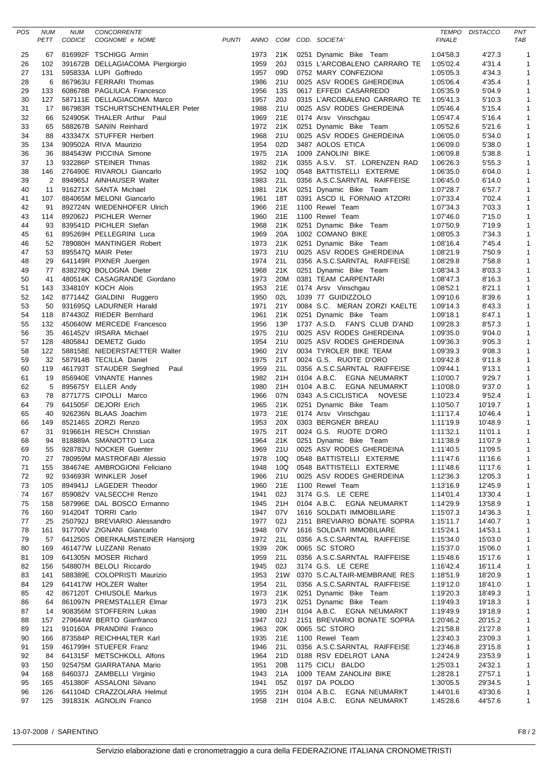| POS      | <b>NUM</b><br>PETT    | <b>NUM</b><br><b>CODICE</b> | CONCORRENTE<br>COGNOME e NOME                                                                                                                                                                                                                 | <b>PUNTI</b> |              |            | ANNO COM COD. SOCIETA'                                                                    | <b>TEMPO</b><br><b>FINALE</b> | <b>DISTACCO</b>    | PNT<br>TAB                   |
|----------|-----------------------|-----------------------------|-----------------------------------------------------------------------------------------------------------------------------------------------------------------------------------------------------------------------------------------------|--------------|--------------|------------|-------------------------------------------------------------------------------------------|-------------------------------|--------------------|------------------------------|
| 25       | 67                    |                             | 816992F TSCHIGG Armin                                                                                                                                                                                                                         |              | 1973         | 21K        | 0251 Dynamic Bike Team                                                                    | 1:04'58.3                     | 4'27.3             | $\mathbf{1}$                 |
| 26       | 102                   |                             | 391672B DELLAGIACOMA Piergiorgio                                                                                                                                                                                                              |              | 1959         | 20J        | 0315 L'ARCOBALENO CARRARO TE                                                              | 1:05'02.4                     | 4'31.4             | $\overline{1}$               |
| 27       | 131                   |                             | 595833A LUPI Goffredo                                                                                                                                                                                                                         |              | 1957         | 09D        | 0752 MARY CONFEZIONI                                                                      | 1:05'05.3                     | 4'34.3             | $\mathbf{1}$                 |
| 28       | 6<br>133              |                             | 867963U FERRARI Thomas<br>608678B PAGLIUCA Francesco                                                                                                                                                                                          |              | 1986         | 21U<br>13S | 0025 ASV RODES GHERDEINA                                                                  | 1:05'06.4                     | 4'35.4             | $\mathbf{1}$                 |
| 29<br>30 | 127                   |                             | 587111E DELLAGIACOMA Marco                                                                                                                                                                                                                    |              | 1956<br>1957 | 20J        | 0617 EFFEDI CASARREDO<br>0315 L'ARCOBALENO CARRARO TE                                     | 1:05'35.9<br>1:05'41.3        | 5'04.9<br>5'10.3   | $\mathbf{1}$<br>$\mathbf{1}$ |
| 31       | 17                    |                             | 867983R TSCHURTSCHENTHALER Peter                                                                                                                                                                                                              |              | 1988         | 21U        | 0025 ASV RODES GHERDEINA                                                                  | 1:05'46.4                     | 5'15.4             | $\mathbf{1}$                 |
| 32       | 66                    |                             | 524905K THALER Arthur Paul                                                                                                                                                                                                                    |              | 1969         | 21E        | 0174 Arsv Vinschgau                                                                       | 1:05'47.4                     | 5'16.4             | $\mathbf{1}$                 |
| 33       | 65                    |                             | 588267B SANIN Reinhard                                                                                                                                                                                                                        |              | 1972         | 21K        | 0251 Dynamic Bike Team                                                                    | 1:05'52.6                     | 5'21.6             | $\mathbf{1}$                 |
| 34       | 88                    |                             | 433347X STUFFER Herbert                                                                                                                                                                                                                       |              | 1968         | 21U        | 0025 ASV RODES GHERDEINA                                                                  | 1:06'05.0                     | 5'34.0             | $\mathbf 1$                  |
| 35       | 134                   |                             | 909502A RIVA Maurizio                                                                                                                                                                                                                         |              | 1954         | 02D        | 3487 AOLOS ETICA                                                                          | 1:06'09.0                     | 5'38.0             | 1                            |
| 36       | 36                    |                             | 884543W PICCINA Simone                                                                                                                                                                                                                        |              | 1975         | 21A        | 1009 ZANOLINI BIKE                                                                        | 1:06'09.8                     | 5'38.8             | $\mathbf{1}$                 |
| 37       | 13                    |                             | 932286P STEINER Thmas                                                                                                                                                                                                                         |              | 1982         | 21K        | 0355 A.S.V. ST. LORENZEN RAD                                                              | 1:06'26.3                     | 5'55.3             | 1                            |
| 38<br>39 | 146<br>$\overline{2}$ |                             | 276490E RIVAROLI Giancarlo<br>894965J AINHAUSER Walter                                                                                                                                                                                        |              | 1952<br>1983 | 10Q<br>21L | 0548 BATTISTELLI EXTERME<br>0356 A.S.C.SARNTAL RAIFFEISE                                  | 1:06'35.0<br>1:06'45.0        | 6'04.0<br>6'14.0   | $\mathbf{1}$<br>$\mathbf{1}$ |
| 40       | 11                    |                             | 916271X SANTA Michael                                                                                                                                                                                                                         |              | 1981         | 21K        | 0251 Dynamic Bike Team                                                                    | 1:07'28.7                     | 6'57.7             | 1                            |
| 41       | 107                   |                             | 884065M MELONI Giancarlo                                                                                                                                                                                                                      |              | 1961         | 18T        | 0391 ASCD IL FORNAIO ATZORI                                                               | 1:07'33.4                     | 7'02.4             | $\mathbf{1}$                 |
| 42       | 91                    |                             | 892724N WIEDENHOFER Ulrich                                                                                                                                                                                                                    |              | 1966         | 21E        | 1100 Rewel Team                                                                           | 1:07'34.3                     | 7'03.3             | $\mathbf{1}$                 |
| 43       | 114                   |                             | 892062J PICHLER Werner                                                                                                                                                                                                                        |              | 1960         | 21E        | 1100 Rewel Team                                                                           | 1:07'46.0                     | 7'15.0             | $\mathbf{1}$                 |
| 44       | 93                    |                             | 839541D PICHLER Stefan                                                                                                                                                                                                                        |              | 1968         | 21K        | 0251 Dynamic Bike Team                                                                    | 1:07'50.9                     | 7'19.9             | $\mathbf{1}$                 |
| 45       | 61                    |                             | 895269H PELLEGRINI Luca                                                                                                                                                                                                                       |              | 1969         | 20A        | 1002 COMANO BIKE                                                                          | 1:08'05.3                     | 7'34.3             | $\mathbf{1}$                 |
| 46       | 52                    |                             | 789080H MANTINGER Robert                                                                                                                                                                                                                      |              | 1973         | 21K        | 0251 Dynamic Bike Team                                                                    | 1:08'16.4                     | 7'45.4             | $\mathbf{1}$                 |
| 47<br>48 | 53<br>29              |                             | 895547Q MAIR Peter<br>641149R PIXNER Juergen                                                                                                                                                                                                  |              | 1973<br>1974 | 21U<br>21L | 0025 ASV RODES GHERDEINA<br>0356 A.S.C.SARNTAL RAIFFEISE                                  | 1:08'21.9<br>1:08'29.8        | 7'50.9<br>7'58.8   | $\mathbf{1}$<br>$\mathbf{1}$ |
| 49       | 77                    |                             | 838278Q BOLOGNA Dieter                                                                                                                                                                                                                        |              | 1968         | 21K        | 0251 Dynamic Bike Team                                                                    | 1:08'34.3                     | 8'03.3             | $\mathbf{1}$                 |
| 50       | 41                    |                             | 480514K CASAGRANDE Giordano                                                                                                                                                                                                                   |              | 1973         | 20M        | 0381 TEAM CARPENTARI                                                                      | 1:08'47.3                     | 8'16.3             | $\mathbf{1}$                 |
| 51       | 143                   |                             | 334810Y KOCH Alois                                                                                                                                                                                                                            |              | 1953         | 21E        | 0174 Arsv Vinschgau                                                                       | 1:08'52.1                     | 8'21.1             | $\mathbf{1}$                 |
| 52       | 142                   |                             | 877144Z GIALDINI Ruggero                                                                                                                                                                                                                      |              | 1950         | 02L        | 1039 77 GUIDIZZOLO                                                                        | 1:09'10.6                     | 8'39.6             | $\mathbf{1}$                 |
| 53       | 50                    |                             | 931695Q LADURNER Harald                                                                                                                                                                                                                       |              | 1971         | 21Y        | 0084 S.C. MERAN ZORZI KAELTE                                                              | 1:09'14.3                     | 8'43.3             | $\mathbf{1}$                 |
| 54       | 118                   |                             | 874430Z RIEDER Bernhard                                                                                                                                                                                                                       |              | 1961         | 21K        | 0251 Dynamic Bike Team                                                                    | 1:09'18.1                     | 8'47.1             | $\mathbf{1}$                 |
| 55       | 132                   |                             | 450640W MERCEDE Francesco                                                                                                                                                                                                                     |              | 1956         | 13P        | 1737 A.S.D. FAN'S CLUB D'AND                                                              | 1:09'28.3                     | 8'57.3             | $\mathbf{1}$                 |
| 56       | 35                    |                             | 461452V IRSARA Michael                                                                                                                                                                                                                        |              | 1975         | 21U        | 0025 ASV RODES GHERDEINA                                                                  | 1:09'35.0                     | 9'04.0             | $\mathbf{1}$                 |
| 57<br>58 | 128<br>122            |                             | 480584J DEMETZ Guido<br>588158E NIEDERSTAETTER Walter                                                                                                                                                                                         |              | 1954<br>1960 | 21U<br>21V | 0025 ASV RODES GHERDEINA<br>0034 TYROLER BIKE TEAM                                        | 1:09'36.3<br>1:09'39.3        | 9'05.3<br>9'08.3   | $\mathbf{1}$<br>$\mathbf{1}$ |
| 59       | 32                    |                             | 587914B TECILLA Daniel                                                                                                                                                                                                                        |              | 1975         | 21T        | 0024 G.S. RUOTE D'ORO                                                                     | 1:09'42.8                     | 9'11.8             | $\mathbf{1}$                 |
| 60       | 119                   |                             | 461793T STAUDER Siegfried Paul                                                                                                                                                                                                                |              | 1959         | 21L        | 0356 A.S.C.SARNTAL RAIFFEISE                                                              | 1:09'44.1                     | 9'13.1             | $\mathbf{1}$                 |
| 61       | 19                    |                             | 856940E VINANTE Hannes                                                                                                                                                                                                                        |              | 1982         | 21H        | 0104 A.B.C. EGNA NEUMARKT                                                                 | 1:10'00.7                     | 9'29.7             | 1                            |
| 62       | 5                     |                             | 895675Y ELLER Andy                                                                                                                                                                                                                            |              | 1980         | 21H        | 0104 A.B.C. EGNA NEUMARKT                                                                 | 1:10'08.0                     | 9'37.0             | $\mathbf{1}$                 |
| 63       | 78                    |                             | 877177S CIPOLLI Marco                                                                                                                                                                                                                         |              | 1966         | 07N        | 0343 A.S.CICLISTICA NOVESE                                                                | 1:10'23.4                     | 9'52.4             | $\mathbf{1}$                 |
| 64       | 79                    |                             | 641505F DEJORI Erich                                                                                                                                                                                                                          |              | 1965         | 21K        | 0251 Dynamic Bike Team                                                                    | 1:10'50.7                     | 10'19.7            | $\mathbf{1}$                 |
| 65       | 40                    |                             | 926236N BLAAS Joachim                                                                                                                                                                                                                         |              | 1973         | 21E        | 0174 Arsv Vinschgau                                                                       | 1:11'17.4                     | 10'46.4            | $\mathbf{1}$                 |
| 66<br>67 | 149<br>31             |                             | 852146S ZORZI Renzo<br>919661H RESCH Christian                                                                                                                                                                                                |              | 1953<br>1975 | 20X<br>21T | 0303 BERGNER BREAU<br>0024 G.S. RUOTE D'ORO                                               | 1:11'19.9<br>1:11'32.1        | 10'48.9<br>11'01.1 | $\mathbf{1}$<br>$\mathbf 1$  |
| 68       | 94                    |                             | 818889A SMANIOTTO Luca                                                                                                                                                                                                                        |              | 1964         | 21K        | 0251 Dynamic Bike Team                                                                    | 1:11'38.9                     | 11'07.9            | $\overline{1}$               |
| 69       |                       |                             | 94 818889A SMANIOTTO Luca<br>55 928782U NOCKER Guenter<br>27 780959M MASTROFABI Alessio<br>155 384674E AMBROGIONI Feliciano                                                                                                                   |              |              |            |                                                                                           | 1:11'40.5                     | 11'09.5            | $\mathbf{1}$                 |
| 70       |                       |                             |                                                                                                                                                                                                                                               |              |              |            | 1969 21U 0025 ASV RODES GHERDEINA<br>1978 10Q 0548 BATTISTELLI EXTERME                    | 1:11'47.6                     | 11'16.6            | $\mathbf{1}$                 |
| 71       | 155                   |                             |                                                                                                                                                                                                                                               |              | 1948         |            | 10Q 0548 BATTISTELLI EXTERME                                                              | 1:11'48.6                     | 11'17.6            | $\mathbf{1}$                 |
| 72       |                       |                             |                                                                                                                                                                                                                                               |              | 1966         | 21U        | 0025 ASV RODES GHERDEINA                                                                  | 1:12'36.3                     | 12'05.3            | $\mathbf{1}$                 |
| 73       |                       |                             |                                                                                                                                                                                                                                               |              | 1960         | 21E        | 1100 Rewel Team                                                                           | 1:13'16.9                     | 12'45.9            | $\mathbf{1}$                 |
| 74       |                       |                             |                                                                                                                                                                                                                                               |              | 1941<br>1945 | 02J<br>21H | 3174 G.S. LE CERE<br>0104 A.B.C. EGNA NEUMARKT                                            | 1:14'01.4<br>1:14'29.9        | 13'30.4<br>13'58.9 | $\mathbf{1}$<br>$\mathbf{1}$ |
| 75<br>76 |                       |                             |                                                                                                                                                                                                                                               |              | 1947         | 07V        | 1616 SOLDATI IMMOBILIARE                                                                  | 1:15'07.3                     | 14'36.3            | $\mathbf{1}$                 |
| 77       |                       |                             |                                                                                                                                                                                                                                               |              | 1977         | 02J        | 2151 BREVIARIO BONATE SOPRA                                                               | 1:15'11.7                     | 14'40.7            | $\mathbf{1}$                 |
| 78       |                       |                             |                                                                                                                                                                                                                                               |              | 1948         | 07V        | 1616 SOLDATI IMMOBILIARE                                                                  | 1:15'24.1                     | 14'53.1            | $\mathbf{1}$                 |
| 79       |                       |                             |                                                                                                                                                                                                                                               |              | 1972 21L     |            | 0356 A.S.C.SARNTAL RAIFFEISE                                                              | 1:15'34.0                     | 15'03.0            | $\mathbf{1}$                 |
| 80       |                       |                             |                                                                                                                                                                                                                                               |              | 1939         | 20K        | 0065 SC STORO                                                                             | 1:15'37.0                     | 15'06.0            | $\mathbf{1}$                 |
| 81       |                       |                             |                                                                                                                                                                                                                                               |              | 1959         | 21L        | 0356 A.S.C.SARNTAL RAIFFEISE                                                              | 1:15'48.6                     | 15'17.6            | $\mathbf{1}$                 |
| 82       |                       |                             |                                                                                                                                                                                                                                               |              | 1945         | 02J        | 3174 G.S. LE CERE                                                                         | 1:16'42.4                     | 16'11.4            | $\mathbf{1}$                 |
| 83       |                       |                             |                                                                                                                                                                                                                                               |              |              |            | 1953 21W 0370 S.C.ALTAIR-MEMBRANE RES                                                     | 1:18'51.9                     | 18'20.9            | $\mathbf{1}$                 |
| 84<br>85 |                       |                             |                                                                                                                                                                                                                                               |              | 1954         | 21L        | 0356 A.S.C.SARNTAL RAIFFEISE                                                              | 1:19'12.0<br>1:19'20.3        | 18'41.0<br>18'49.3 | $\mathbf{1}$<br>$\mathbf{1}$ |
| 86       |                       |                             |                                                                                                                                                                                                                                               |              |              |            | 1973 21K 0251 Dynamic Bike Team<br>1973 21K 0251 Dynamic Bike Team                        | 1:19'49.3                     | 19'18.3            | $\mathbf{1}$                 |
| 87       |                       |                             |                                                                                                                                                                                                                                               |              | 1980         |            | 21H 0104 A.B.C. EGNA NEUMARKT                                                             | 1:19'49.9                     | 19'18.9            | $\mathbf{1}$                 |
| 88       |                       |                             |                                                                                                                                                                                                                                               |              | 1947         | 02J        | 2151 BREVIARIO BONATE SOPRA                                                               | 1:20'46.2                     | 20'15.2            | $\mathbf{1}$                 |
| 89       |                       |                             |                                                                                                                                                                                                                                               |              | 1963         |            | 20K 0065 SC STORO                                                                         | 1:21'58.8                     | 21'27.8            | $\mathbf{1}$                 |
| 90       |                       |                             |                                                                                                                                                                                                                                               |              | 1935         | 21E        | 1100 Rewel Team                                                                           | 1:23'40.3                     | 23'09.3            | $\mathbf{1}$                 |
| 91       |                       |                             |                                                                                                                                                                                                                                               |              | 1946         | 21L        | 0356 A.S.C.SARNTAL RAIFFEISE                                                              | 1:23'46.8                     | 23'15.8            | $\mathbf{1}$                 |
| 92       |                       |                             |                                                                                                                                                                                                                                               |              | 1964         | 21D        | 0188 RSV EDELROT LANA                                                                     | 1:24'24.9                     | 23'53.9            | $\mathbf{1}$                 |
| 93       |                       |                             |                                                                                                                                                                                                                                               |              | 1951         | 20B        | 1175 CICLI BALDO                                                                          | 1:25'03.1                     | 24'32.1            | $\mathbf{1}$                 |
| 94<br>95 |                       |                             |                                                                                                                                                                                                                                               |              | 1943<br>1941 | 05Z        | 21A 1009 TEAM ZANOLINI BIKE<br>0197 DA POLDO                                              | 1:28'28.1<br>1:30'05.5        | 27'57.1<br>29'34.5 | $\mathbf{1}$<br>$\mathbf{1}$ |
| 96       |                       |                             | 21<br>155 384674E AMBROGIONI Felisiano<br>92 934693R WINKLER Josef<br>105 884941J LAGEDER Theodor<br>167 859082V VALSECCHI Renzo<br>167 859082V VALSECCHI Renzo<br>168 587996E DAL BOSCO Ermanno<br>160 914204T TORRI Carlo Alessandro<br>161 |              |              |            |                                                                                           | 1:44'01.6                     | 43'30.6            | $\mathbf{1}$                 |
| 97       |                       |                             | 126 641104D CRAZZOLARA Helmut<br>125 391831K AGNOLIN Franco<br>391831K AGNOLIN Franco                                                                                                                                                         |              |              |            | 1955   21H   0104  A.B.C.   EGNA  NEUMARKT<br>1958    21H   0104  A.B.C.   EGNA  NEUMARKT | 1:45'28.6                     | 44'57.6            | $\mathbf{1}$                 |
|          |                       |                             |                                                                                                                                                                                                                                               |              |              |            |                                                                                           |                               |                    |                              |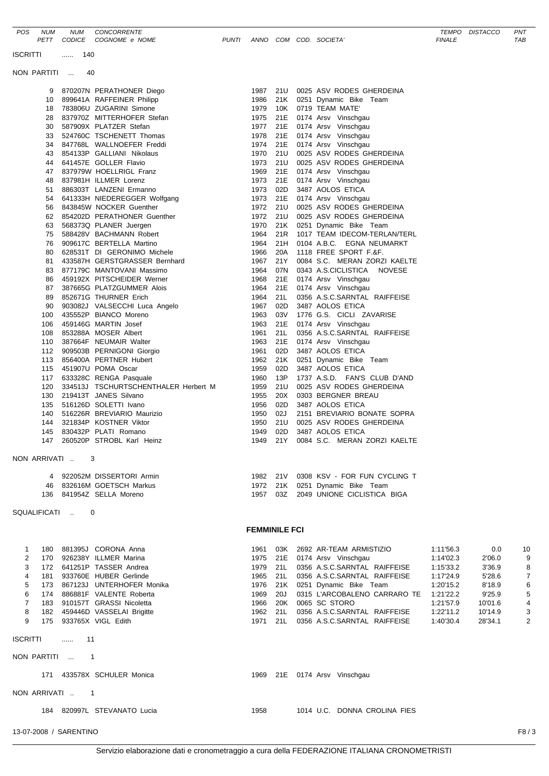|                 | 9                              |                 | 870207N PERATHONER Diego                                | 1987                 | 21U        |  | 0025 ASV RODES GHERDEINA                                    |           |         |                |
|-----------------|--------------------------------|-----------------|---------------------------------------------------------|----------------------|------------|--|-------------------------------------------------------------|-----------|---------|----------------|
|                 | 10                             |                 | 899641A RAFFEINER Philipp                               | 1986                 | 21K        |  | 0251 Dynamic Bike Team                                      |           |         |                |
|                 | 18                             |                 | 783806U ZUGARINI Simone                                 | 1979                 | 10K        |  | 0719 TEAM MATE'                                             |           |         |                |
|                 | 28                             |                 | 837970Z MITTERHOFER Stefan                              | 1975                 | 21E        |  | 0174 Arsv Vinschgau                                         |           |         |                |
|                 | 30                             |                 | 587909X PLATZER Stefan                                  | 1977                 | 21E        |  | 0174 Arsv Vinschgau                                         |           |         |                |
|                 | 33                             |                 | 524760C TSCHENETT Thomas                                | 1978                 | 21E        |  | 0174 Arsv Vinschgau                                         |           |         |                |
|                 | 34                             |                 | 847768L WALLNOEFER Freddi                               | 1974<br>1970         | 21E<br>21U |  | 0174 Arsv Vinschgau<br>0025 ASV RODES GHERDEINA             |           |         |                |
|                 | 43<br>44                       |                 | 854133P GALLIANI Nikolaus<br>641457E GOLLER Flavio      | 1973                 | 21U        |  | 0025 ASV RODES GHERDEINA                                    |           |         |                |
|                 | 47                             |                 | 837979W HOELLRIGL Franz                                 | 1969                 | 21E        |  | 0174 Arsv Vinschgau                                         |           |         |                |
|                 | 48                             |                 | 837981H ILLMER Lorenz                                   | 1973                 | 21E        |  | 0174 Arsv Vinschgau                                         |           |         |                |
|                 | 51                             |                 | 886303T LANZENI Ermanno                                 | 1973                 | 02D        |  | 3487 AOLOS ETICA                                            |           |         |                |
|                 |                                |                 | 54 641333H NIEDEREGGER Wolfgang                         | 1973                 | 21E        |  | 0174 Arsv Vinschgau                                         |           |         |                |
|                 | 56                             |                 | 843845W NOCKER Guenther                                 | 1972                 | 21U        |  | 0025 ASV RODES GHERDEINA                                    |           |         |                |
|                 |                                |                 | 62 854202D PERATHONER Guenther                          | 1972                 | 21U        |  | 0025 ASV RODES GHERDEINA                                    |           |         |                |
|                 | 63                             |                 | 568373Q PLANER Juergen                                  | 1970                 | 21K        |  | 0251 Dynamic Bike Team                                      |           |         |                |
|                 | 75                             |                 | 588428V BACHMANN Robert                                 | 1964                 | 21R        |  | 1017 TEAM IDECOM-TERLAN/TERL                                |           |         |                |
|                 | 76                             |                 | 909617C BERTELLA Martino                                | 1964                 | 21H        |  | 0104 A.B.C. EGNA NEUMARKT                                   |           |         |                |
|                 | 80                             |                 | 628531T DI GERONIMO Michele                             | 1966                 | 20A        |  | 1118 FREE SPORT F.&F.                                       |           |         |                |
|                 | 81                             |                 | 433587H GERSTGRASSER Bernhard                           | 1967                 | 21Y        |  | 0084 S.C. MERAN ZORZI KAELTE                                |           |         |                |
|                 | 83<br>86                       |                 | 877179C MANTOVANI Massimo<br>459192X PITSCHEIDER Werner | 1964<br>1968         | 07N<br>21E |  | 0343 A.S.CICLISTICA<br><b>NOVESE</b><br>0174 Arsv Vinschgau |           |         |                |
|                 | 87                             |                 | 387665G PLATZGUMMER Alois                               | 1964                 | 21E        |  | 0174 Arsv Vinschgau                                         |           |         |                |
|                 | 89                             |                 | 852671G THURNER Erich                                   | 1964                 | 21L        |  | 0356 A.S.C.SARNTAL RAIFFEISE                                |           |         |                |
|                 | 90                             |                 | 903082J VALSECCHI Luca Angelo                           | 1967                 | 02D        |  | 3487 AOLOS ETICA                                            |           |         |                |
|                 | 100                            |                 | 435552P BIANCO Moreno                                   | 1963                 | 03V        |  | 1776 G.S. CICLI ZAVARISE                                    |           |         |                |
|                 | 106                            |                 | 459146G MARTIN Josef                                    | 1963                 | 21E        |  | 0174 Arsv Vinschgau                                         |           |         |                |
|                 | 108                            |                 | 853288A MOSER Albert                                    | 1961                 | 21L        |  | 0356 A.S.C.SARNTAL RAIFFEISE                                |           |         |                |
|                 | 110                            |                 | 387664F NEUMAIR Walter                                  | 1963                 | 21E        |  | 0174 Arsv Vinschgau                                         |           |         |                |
|                 |                                |                 | 112 909503B PERNIGONI Giorgio                           | 1961                 | 02D        |  | 3487 AOLOS ETICA                                            |           |         |                |
|                 | 113                            |                 | 856400A PERTNER Hubert                                  | 1962                 | 21K        |  | 0251 Dynamic Bike Team                                      |           |         |                |
|                 | 115                            |                 | 451907U POMA Oscar                                      | 1959                 | 02D        |  | 3487 AOLOS ETICA                                            |           |         |                |
|                 |                                |                 | 117 633328C RENGA Pasquale                              | 1960                 | 13P        |  | 1737 A.S.D. FAN'S CLUB D'AND                                |           |         |                |
|                 | 120                            |                 | 334513J TSCHURTSCHENTHALER Herbert M                    | 1959                 | 21U        |  | 0025 ASV RODES GHERDEINA                                    |           |         |                |
|                 | 130                            |                 | 219413T JANES Silvano                                   | 1955                 | 20X        |  | 0303 BERGNER BREAU                                          |           |         |                |
|                 |                                |                 | 135 516126D SOLETTI Ivano                               | 1956                 | 02D        |  | 3487 AOLOS ETICA                                            |           |         |                |
|                 | 140                            |                 | 516226R BREVIARIO Maurizio<br>321834P KOSTNER Viktor    | 1950<br>1950         | 02J<br>21U |  | 2151 BREVIARIO BONATE SOPRA<br>0025 ASV RODES GHERDEINA     |           |         |                |
|                 | 144                            |                 | 145 830432P PLATI Romano                                | 1949                 | 02D        |  | 3487 AOLOS ETICA                                            |           |         |                |
|                 | 147                            |                 | 260520P STROBL Karl Heinz                               | 1949                 | 21Y        |  | 0084 S.C. MERAN ZORZI KAELTE                                |           |         |                |
|                 |                                |                 |                                                         |                      |            |  |                                                             |           |         |                |
| NON ARRIVATI    |                                | 3               |                                                         |                      |            |  |                                                             |           |         |                |
|                 |                                |                 |                                                         |                      |            |  |                                                             |           |         |                |
|                 | 4                              |                 | 922052M DISSERTORI Armin                                | 1982 21V             |            |  | 0308 KSV - FOR FUN CYCLING T                                |           |         |                |
|                 | 46                             |                 | 832616M GOETSCH Markus                                  |                      | 1972 21K   |  | 0251 Dynamic Bike Team                                      |           |         |                |
|                 |                                |                 | 136 841954Z SELLA Moreno                                | 1957                 | 03Z        |  | 2049 UNIONE CICLISTICA BIGA                                 |           |         |                |
|                 |                                |                 |                                                         |                      |            |  |                                                             |           |         |                |
| SQUALIFICATI    |                                | 0               |                                                         |                      |            |  |                                                             |           |         |                |
|                 |                                |                 |                                                         | <b>FEMMINILE FCI</b> |            |  |                                                             |           |         |                |
|                 |                                |                 |                                                         |                      |            |  |                                                             |           |         |                |
| 1               |                                |                 | 180 881395J CORONA Anna                                 | 1961                 | 03K        |  | 2692 AR-TEAM ARMISTIZIO                                     | 1:11'56.3 | 0.0     | 10             |
| 2               |                                |                 | 170 926238Y ILLMER Marina                               | 1975                 |            |  | 21E 0174 Arsv Vinschgau                                     | 1:14'02.3 | 2'06.0  | 9              |
| 3               |                                |                 | 172 641251P TASSER Andrea                               | 1979                 | 21L        |  | 0356 A.S.C.SARNTAL RAIFFEISE                                | 1:15'33.2 | 3'36.9  | 8              |
| 4               |                                |                 | 181 933760E HUBER Gerlinde                              | 1965                 | 21L        |  | 0356 A.S.C.SARNTAL RAIFFEISE                                | 1:17'24.9 | 5'28.6  | $\overline{7}$ |
| 5               |                                |                 | 173 867123J UNTERHOFER Monika                           | 1976                 | 21K        |  | 0251 Dynamic Bike Team                                      | 1:20'15.2 | 8'18.9  | 6              |
| 6               |                                |                 | 174 886881F VALENTE Roberta                             | 1969                 | 20J        |  | 0315 L'ARCOBALENO CARRARO TE                                | 1:21'22.2 | 9'25.9  | 5              |
| $\overline{7}$  |                                |                 | 183 910157T GRASSI Nicoletta                            | 1966                 |            |  | 20K 0065 SC STORO                                           | 1:21'57.9 | 10'01.6 | 4              |
| 8               |                                |                 | 182 459446D VASSELAI Brigitte                           | 1962                 | 21L        |  | 0356 A.S.C.SARNTAL RAIFFEISE                                | 1:22'11.2 | 10'14.9 | 3              |
| 9               |                                |                 | 175 933765X VIGL Edith                                  | 1971                 |            |  | 21L 0356 A.S.C.SARNTAL RAIFFEISE                            | 1:40'30.4 | 28'34.1 | $\overline{2}$ |
|                 |                                |                 |                                                         |                      |            |  |                                                             |           |         |                |
| <b>ISCRITTI</b> |                                | 11<br>$\ldots$  |                                                         |                      |            |  |                                                             |           |         |                |
|                 |                                |                 |                                                         |                      |            |  |                                                             |           |         |                |
| NON PARTITI     |                                | $\mathbf 1$     |                                                         |                      |            |  |                                                             |           |         |                |
|                 |                                |                 | 171 433578X SCHULER Monica                              |                      |            |  | 1969 21E 0174 Arsv Vinschgau                                |           |         |                |
|                 |                                |                 |                                                         |                      |            |  |                                                             |           |         |                |
|                 |                                | NON ARRIVATI  1 |                                                         |                      |            |  |                                                             |           |         |                |
|                 |                                |                 |                                                         |                      |            |  |                                                             |           |         |                |
|                 |                                |                 | 184 820997L STEVANATO Lucia                             | 1958                 |            |  | 1014 U.C. DONNA CROLINA FIES                                |           |         |                |
|                 |                                |                 |                                                         |                      |            |  |                                                             |           |         |                |
|                 | F8/3<br>13-07-2008 / SARENTINO |                 |                                                         |                      |            |  |                                                             |           |         |                |

*POS NUM NUM CONCORRENTE TEMPO DISTACCO PNT*

PETT CODICE COGNOME e NOME **FUNTI ANNO COM COD.** SOCIETA'

ISCRITTI ...... 140 NON PARTITI ... 40